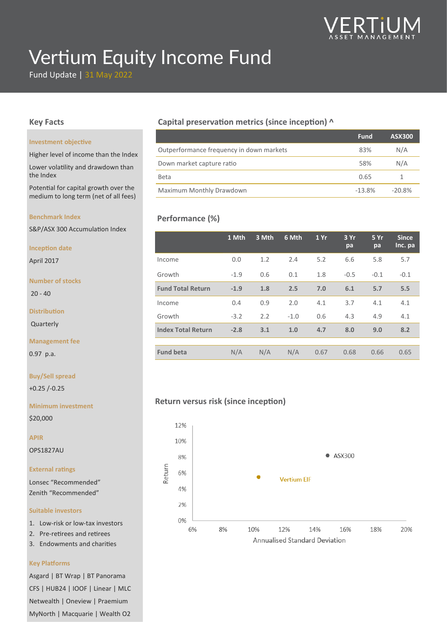

# Vertium Equity Income Fund

Fund Update | 31 May 2022

#### **Key Facts**

#### **Investment objective**

Higher level of income than the Index

Lower volatility and drawdown than the Index

Potential for capital growth over the medium to long term (net of all fees)

#### **Benchmark Index**

S&P/ASX 300 Accumulation Index

#### **Inception date**

April 2017

#### **Number of stocks**

 $20 - 40$ 

**Distribution**

Quarterly

#### **Management fee**

0.97 p.a.

#### **Buy/Sell spread**

+0.25 /-0.25

**Minimum investment**

\$20,000

**APIR**

OPS1827AU

#### **External ratings**

Lonsec "Recommended" Zenith "Recommended"

#### **Suitable investors**

- 1. Low-risk or low-tax investors
- 2. Pre-retirees and retirees
- 3. Endowments and charities

#### **Key Platforms**

1 MyNorth | Macquarie | Wealth O2 Asgard | BT Wrap | BT Panorama CFS | HUB24 | IOOF | Linear | MLC Netwealth | Oneview | Praemium

#### **Capital preservation metrics (since inception) ^**

|                                          | <b>Fund</b> | <b>ASX300</b> |
|------------------------------------------|-------------|---------------|
| Outperformance frequency in down markets | 83%         | N/A           |
| Down market capture ratio                | 58%         | N/A           |
| <b>Beta</b>                              | 0.65        |               |
| <b>Maximum Monthly Drawdown</b>          | $-13.8%$    | $-20.8\%$     |

## **Performance (%)**

|                           | 1 Mth  | 3 Mth | 6 Mth  | 1Yr  | 3 Yr<br>pa | 5 Yr<br>pa | <b>Since</b><br>Inc. pa |
|---------------------------|--------|-------|--------|------|------------|------------|-------------------------|
| Income                    | 0.0    | 1.2   | 2.4    | 5.2  | 6.6        | 5.8        | 5.7                     |
| Growth                    | $-1.9$ | 0.6   | 0.1    | 1.8  | $-0.5$     | $-0.1$     | $-0.1$                  |
| <b>Fund Total Return</b>  | $-1.9$ | 1.8   | 2.5    | 7.0  | 6.1        | 5.7        | 5.5                     |
| Income                    | 0.4    | 0.9   | 2.0    | 4.1  | 3.7        | 4.1        | 4.1                     |
| Growth                    | $-3.2$ | 2.2   | $-1.0$ | 0.6  | 4.3        | 4.9        | 4.1                     |
| <b>Index Total Return</b> | $-2.8$ | 3.1   | 1.0    | 4.7  | 8.0        | 9.0        | 8.2                     |
|                           |        |       |        |      |            |            |                         |
| <b>Fund beta</b>          | N/A    | N/A   | N/A    | 0.67 | 0.68       | 0.66       | 0.65                    |

### **Return versus risk (since inception)**